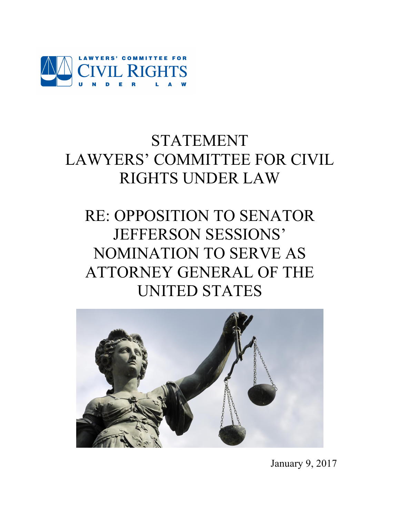

# STATEMENT LAWYERS' COMMITTEE FOR CIVIL RIGHTS UNDER LAW

# RE: OPPOSITION TO SENATOR JEFFERSON SESSIONS' NOMINATION TO SERVE AS ATTORNEY GENERAL OF THE UNITED STATES



January 9, 2017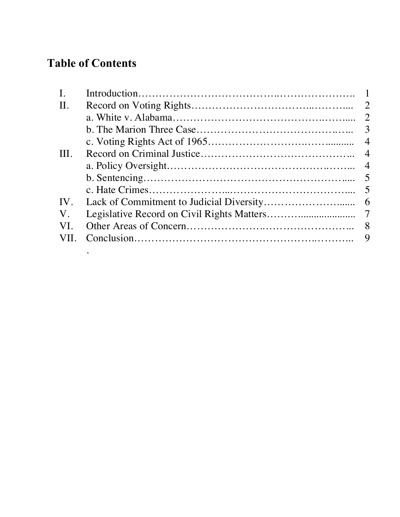# **Table of Contents**

.

| $\mathbf{I}$ . |     |
|----------------|-----|
| $\prod$ .      |     |
|                |     |
|                |     |
|                |     |
| III.           |     |
|                |     |
|                |     |
|                | - 5 |
| IV.            |     |
| $V_{\cdot}$    |     |
| VI.            |     |
| VII.           |     |
|                |     |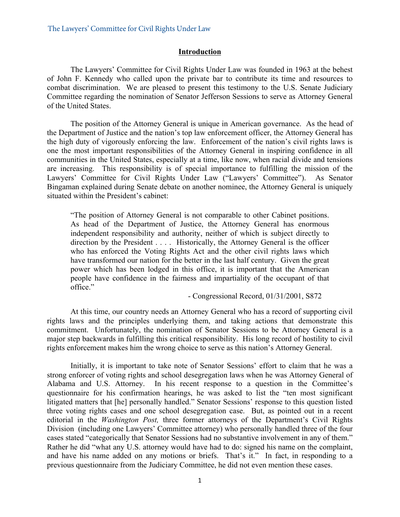#### **Introduction**

The Lawyers' Committee for Civil Rights Under Law was founded in 1963 at the behest of John F. Kennedy who called upon the private bar to contribute its time and resources to combat discrimination. We are pleased to present this testimony to the U.S. Senate Judiciary Committee regarding the nomination of Senator Jefferson Sessions to serve as Attorney General of the United States.

The position of the Attorney General is unique in American governance. As the head of the Department of Justice and the nation's top law enforcement officer, the Attorney General has the high duty of vigorously enforcing the law. Enforcement of the nation's civil rights laws is one the most important responsibilities of the Attorney General in inspiring confidence in all communities in the United States, especially at a time, like now, when racial divide and tensions are increasing. This responsibility is of special importance to fulfilling the mission of the Lawyers' Committee for Civil Rights Under Law ("Lawyers' Committee"). As Senator Bingaman explained during Senate debate on another nominee, the Attorney General is uniquely situated within the President's cabinet:

"The position of Attorney General is not comparable to other Cabinet positions. As head of the Department of Justice, the Attorney General has enormous independent responsibility and authority, neither of which is subject directly to direction by the President . . . . Historically, the Attorney General is the officer who has enforced the Voting Rights Act and the other civil rights laws which have transformed our nation for the better in the last half century. Given the great power which has been lodged in this office, it is important that the American people have confidence in the fairness and impartiality of the occupant of that office."

- Congressional Record, 01/31/2001, S872

At this time, our country needs an Attorney General who has a record of supporting civil rights laws and the principles underlying them, and taking actions that demonstrate this commitment. Unfortunately, the nomination of Senator Sessions to be Attorney General is a major step backwards in fulfilling this critical responsibility. His long record of hostility to civil rights enforcement makes him the wrong choice to serve as this nation's Attorney General.

Initially, it is important to take note of Senator Sessions' effort to claim that he was a strong enforcer of voting rights and school desegregation laws when he was Attorney General of Alabama and U.S. Attorney. In his recent response to a question in the Committee's questionnaire for his confirmation hearings, he was asked to list the "ten most significant litigated matters that [he] personally handled." Senator Sessions' response to this question listed three voting rights cases and one school desegregation case. But, as pointed out in a recent editorial in the *Washington Post,* three former attorneys of the Department's Civil Rights Division (including one Lawyers' Committee attorney) who personally handled three of the four cases stated "categorically that Senator Sessions had no substantive involvement in any of them." Rather he did "what any U.S. attorney would have had to do: signed his name on the complaint, and have his name added on any motions or briefs. That's it." In fact, in responding to a previous questionnaire from the Judiciary Committee, he did not even mention these cases.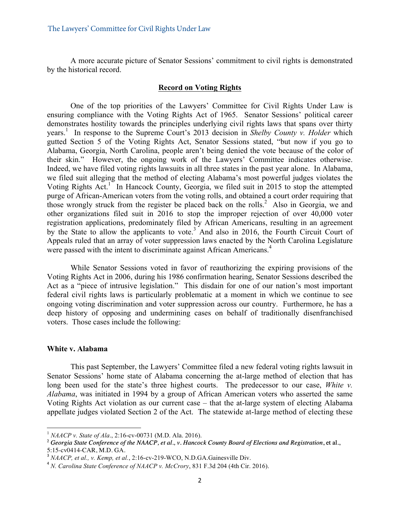A more accurate picture of Senator Sessions' commitment to civil rights is demonstrated by the historical record.

### **Record on Voting Rights**

One of the top priorities of the Lawyers' Committee for Civil Rights Under Law is ensuring compliance with the Voting Rights Act of 1965. Senator Sessions' political career demonstrates hostility towards the principles underlying civil rights laws that spans over thirty years.<sup>1</sup> In response to the Supreme Court's 2013 decision in *Shelby County v. Holder* which gutted Section 5 of the Voting Rights Act, Senator Sessions stated, "but now if you go to Alabama, Georgia, North Carolina, people aren't being denied the vote because of the color of their skin." However, the ongoing work of the Lawyers' Committee indicates otherwise. Indeed, we have filed voting rights lawsuits in all three states in the past year alone. In Alabama, we filed suit alleging that the method of electing Alabama's most powerful judges violates the Voting Rights Act.<sup>1</sup> In Hancock County, Georgia, we filed suit in 2015 to stop the attempted purge of African-American voters from the voting rolls, and obtained a court order requiring that those wrongly struck from the register be placed back on the rolls.<sup>2</sup> Also in Georgia, we and other organizations filed suit in 2016 to stop the improper rejection of over 40,000 voter registration applications, predominately filed by African Americans, resulting in an agreement by the State to allow the applicants to vote.<sup>3</sup> And also in 2016, the Fourth Circuit Court of Appeals ruled that an array of voter suppression laws enacted by the North Carolina Legislature were passed with the intent to discriminate against African Americans.<sup>4</sup>

While Senator Sessions voted in favor of reauthorizing the expiring provisions of the Voting Rights Act in 2006, during his 1986 confirmation hearing, Senator Sessions described the Act as a "piece of intrusive legislation." This disdain for one of our nation's most important federal civil rights laws is particularly problematic at a moment in which we continue to see ongoing voting discrimination and voter suppression across our country. Furthermore, he has a deep history of opposing and undermining cases on behalf of traditionally disenfranchised voters. Those cases include the following:

#### **White v. Alabama**

This past September, the Lawyers' Committee filed a new federal voting rights lawsuit in Senator Sessions' home state of Alabama concerning the at-large method of election that has long been used for the state's three highest courts. The predecessor to our case, *White v. Alabama*, was initiated in 1994 by a group of African American voters who asserted the same Voting Rights Act violation as our current case – that the at-large system of electing Alabama appellate judges violated Section 2 of the Act. The statewide at-large method of electing these

 <sup>1</sup> *NAACP v. State of Ala*., 2:16-cv-00731 (M.D. Ala. 2016).

<sup>&</sup>lt;sup>2</sup> Georgia State Conference of the NAACP, et al., v. Hancock County Board of Elections and Registration, et al., 5:15-cv0414-CAR, M.D. GA.<br><sup>3</sup> *NAACP, et al., v. Kemp, et al.*, 2:16-cv-219-WCO, N.D.GA.Gainesville Div.

<sup>4</sup> *N. Carolina State Conference of NAACP v. McCrory*, 831 F.3d 204 (4th Cir. 2016).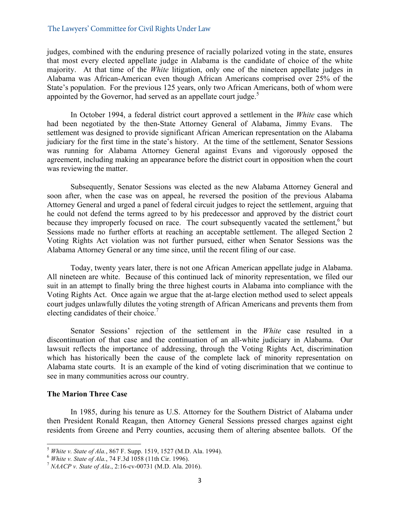judges, combined with the enduring presence of racially polarized voting in the state, ensures that most every elected appellate judge in Alabama is the candidate of choice of the white majority. At that time of the *White* litigation, only one of the nineteen appellate judges in Alabama was African-American even though African Americans comprised over 25% of the State's population. For the previous 125 years, only two African Americans, both of whom were appointed by the Governor, had served as an appellate court judge.<sup>5</sup>

In October 1994, a federal district court approved a settlement in the *White* case which had been negotiated by the then-State Attorney General of Alabama, Jimmy Evans. The settlement was designed to provide significant African American representation on the Alabama judiciary for the first time in the state's history. At the time of the settlement, Senator Sessions was running for Alabama Attorney General against Evans and vigorously opposed the agreement, including making an appearance before the district court in opposition when the court was reviewing the matter.

Subsequently, Senator Sessions was elected as the new Alabama Attorney General and soon after, when the case was on appeal, he reversed the position of the previous Alabama Attorney General and urged a panel of federal circuit judges to reject the settlement, arguing that he could not defend the terms agreed to by his predecessor and approved by the district court because they improperly focused on race. The court subsequently vacated the settlement,<sup>6</sup> but Sessions made no further efforts at reaching an acceptable settlement. The alleged Section 2 Voting Rights Act violation was not further pursued, either when Senator Sessions was the Alabama Attorney General or any time since, until the recent filing of our case.

Today, twenty years later, there is not one African American appellate judge in Alabama. All nineteen are white. Because of this continued lack of minority representation, we filed our suit in an attempt to finally bring the three highest courts in Alabama into compliance with the Voting Rights Act. Once again we argue that the at-large election method used to select appeals court judges unlawfully dilutes the voting strength of African Americans and prevents them from electing candidates of their choice.<sup>7</sup>

Senator Sessions' rejection of the settlement in the *White* case resulted in a discontinuation of that case and the continuation of an all-white judiciary in Alabama. Our lawsuit reflects the importance of addressing, through the Voting Rights Act, discrimination which has historically been the cause of the complete lack of minority representation on Alabama state courts. It is an example of the kind of voting discrimination that we continue to see in many communities across our country.

#### **The Marion Three Case**

In 1985, during his tenure as U.S. Attorney for the Southern District of Alabama under then President Ronald Reagan, then Attorney General Sessions pressed charges against eight residents from Greene and Perry counties, accusing them of altering absentee ballots. Of the

<sup>&</sup>lt;sup>5</sup> *White v. State of Ala.*, 867 F. Supp. 1519, 1527 (M.D. Ala. 1994).<br>
<sup>6</sup> *White v. State of Ala.*, 74 F.3d 1058 (11th Cir. 1996).<br>
<sup>7</sup> *NAACP v. State of Ala.*, 2:16-cv-00731 (M.D. Ala. 2016).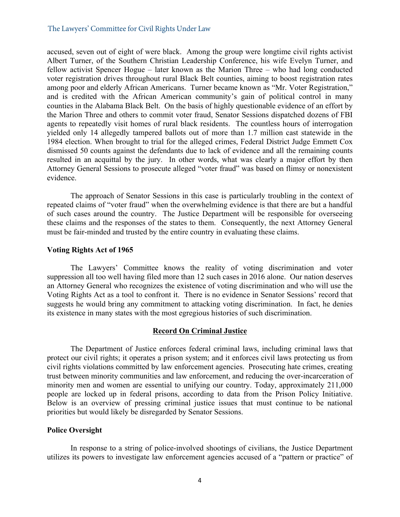accused, seven out of eight of were black. Among the group were longtime civil rights activist Albert Turner, of the Southern Christian Leadership Conference, his wife Evelyn Turner, and fellow activist Spencer Hogue – later known as the Marion Three – who had long conducted voter registration drives throughout rural Black Belt counties, aiming to boost registration rates among poor and elderly African Americans. Turner became known as "Mr. Voter Registration," and is credited with the African American community's gain of political control in many counties in the Alabama Black Belt. On the basis of highly questionable evidence of an effort by the Marion Three and others to commit voter fraud, Senator Sessions dispatched dozens of FBI agents to repeatedly visit homes of rural black residents. The countless hours of interrogation yielded only 14 allegedly tampered ballots out of more than 1.7 million cast statewide in the 1984 election. When brought to trial for the alleged crimes, Federal District Judge Emmett Cox dismissed 50 counts against the defendants due to lack of evidence and all the remaining counts resulted in an acquittal by the jury. In other words, what was clearly a major effort by then Attorney General Sessions to prosecute alleged "voter fraud" was based on flimsy or nonexistent evidence.

The approach of Senator Sessions in this case is particularly troubling in the context of repeated claims of "voter fraud" when the overwhelming evidence is that there are but a handful of such cases around the country. The Justice Department will be responsible for overseeing these claims and the responses of the states to them. Consequently, the next Attorney General must be fair-minded and trusted by the entire country in evaluating these claims.

#### **Voting Rights Act of 1965**

The Lawyers' Committee knows the reality of voting discrimination and voter suppression all too well having filed more than 12 such cases in 2016 alone. Our nation deserves an Attorney General who recognizes the existence of voting discrimination and who will use the Voting Rights Act as a tool to confront it. There is no evidence in Senator Sessions' record that suggests he would bring any commitment to attacking voting discrimination. In fact, he denies its existence in many states with the most egregious histories of such discrimination.

#### **Record On Criminal Justice**

The Department of Justice enforces federal criminal laws, including criminal laws that protect our civil rights; it operates a prison system; and it enforces civil laws protecting us from civil rights violations committed by law enforcement agencies. Prosecuting hate crimes, creating trust between minority communities and law enforcement, and reducing the over-incarceration of minority men and women are essential to unifying our country. Today, approximately 211,000 people are locked up in federal prisons, according to data from the Prison Policy Initiative. Below is an overview of pressing criminal justice issues that must continue to be national priorities but would likely be disregarded by Senator Sessions.

#### **Police Oversight**

In response to a string of police-involved shootings of civilians, the Justice Department utilizes its powers to investigate law enforcement agencies accused of a "pattern or practice" of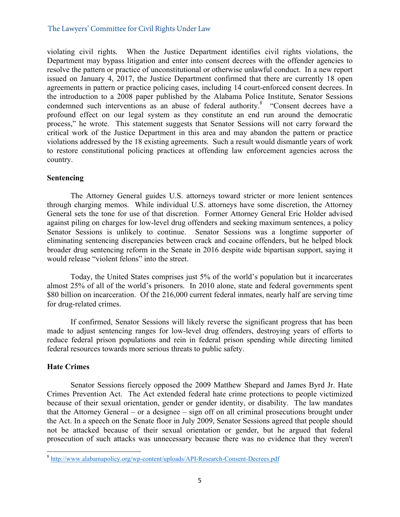violating civil rights. When the Justice Department identifies civil rights violations, the Department may bypass litigation and enter into consent decrees with the offender agencies to resolve the pattern or practice of unconstitutional or otherwise unlawful conduct. In a new report issued on January 4, 2017, the Justice Department confirmed that there are currently 18 open agreements in pattern or practice policing cases, including 14 court-enforced consent decrees. In the introduction to a 2008 paper published by the Alabama Police Institute, Senator Sessions condemned such interventions as an abuse of federal authority.<sup>8</sup> "Consent decrees have a profound effect on our legal system as they constitute an end run around the democratic process," he wrote. This statement suggests that Senator Sessions will not carry forward the critical work of the Justice Department in this area and may abandon the pattern or practice violations addressed by the 18 existing agreements. Such a result would dismantle years of work to restore constitutional policing practices at offending law enforcement agencies across the country.

# **Sentencing**

The Attorney General guides U.S. attorneys toward stricter or more lenient sentences through charging memos. While individual U.S. attorneys have some discretion, the Attorney General sets the tone for use of that discretion. Former Attorney General Eric Holder advised against piling on charges for low-level drug offenders and seeking maximum sentences, a policy Senator Sessions is unlikely to continue. Senator Sessions was a longtime supporter of eliminating sentencing discrepancies between crack and cocaine offenders, but he helped block broader drug sentencing reform in the Senate in 2016 despite wide bipartisan support, saying it would release "violent felons" into the street.

Today, the United States comprises just 5% of the world's population but it incarcerates almost 25% of all of the world's prisoners. In 2010 alone, state and federal governments spent \$80 billion on incarceration. Of the 216,000 current federal inmates, nearly half are serving time for drug-related crimes.

If confirmed, Senator Sessions will likely reverse the significant progress that has been made to adjust sentencing ranges for low-level drug offenders, destroying years of efforts to reduce federal prison populations and rein in federal prison spending while directing limited federal resources towards more serious threats to public safety.

# **Hate Crimes**

Senator Sessions fiercely opposed the 2009 Matthew Shepard and James Byrd Jr. Hate Crimes Prevention Act. The Act extended federal hate crime protections to people victimized because of their sexual orientation, gender or gender identity, or disability. The law mandates that the Attorney General – or a designee – sign off on all criminal prosecutions brought under the Act. In a speech on the Senate floor in July 2009, Senator Sessions agreed that people should not be attacked because of their sexual orientation or gender, but he argued that federal prosecution of such attacks was unnecessary because there was no evidence that they weren't

 <sup>8</sup> http://www.alabamapolicy.org/wp-content/uploads/API-Research-Consent-Decrees.pdf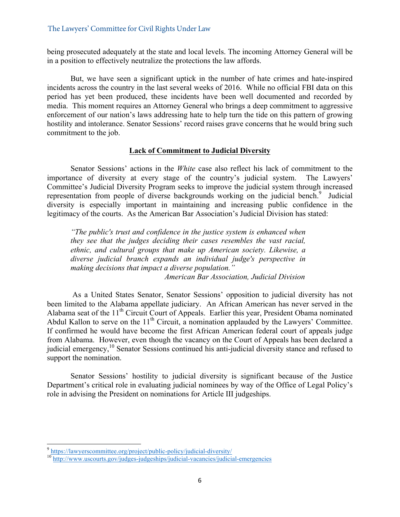being prosecuted adequately at the state and local levels. The incoming Attorney General will be in a position to effectively neutralize the protections the law affords.

But, we have seen a significant uptick in the number of hate crimes and hate-inspired incidents across the country in the last several weeks of 2016. While no official FBI data on this period has yet been produced, these incidents have been well documented and recorded by media. This moment requires an Attorney General who brings a deep commitment to aggressive enforcement of our nation's laws addressing hate to help turn the tide on this pattern of growing hostility and intolerance. Senator Sessions' record raises grave concerns that he would bring such commitment to the job.

#### **Lack of Commitment to Judicial Diversity**

Senator Sessions' actions in the *White* case also reflect his lack of commitment to the importance of diversity at every stage of the country's judicial system. The Lawyers' Committee's Judicial Diversity Program seeks to improve the judicial system through increased representation from people of diverse backgrounds working on the judicial bench.<sup>9</sup> Judicial diversity is especially important in maintaining and increasing public confidence in the legitimacy of the courts. As the American Bar Association's Judicial Division has stated:

*"The public's trust and confidence in the justice system is enhanced when they see that the judges deciding their cases resembles the vast racial, ethnic, and cultural groups that make up American society. Likewise, a diverse judicial branch expands an individual judge's perspective in making decisions that impact a diverse population." American Bar Association, Judicial Division* 

As a United States Senator, Senator Sessions' opposition to judicial diversity has not been limited to the Alabama appellate judiciary. An African American has never served in the Alabama seat of the 11<sup>th</sup> Circuit Court of Appeals. Earlier this year, President Obama nominated Abdul Kallon to serve on the  $11<sup>th</sup>$  Circuit, a nomination applauded by the Lawyers' Committee. If confirmed he would have become the first African American federal court of appeals judge from Alabama. However, even though the vacancy on the Court of Appeals has been declared a judicial emergency,<sup>10</sup> Senator Sessions continued his anti-judicial diversity stance and refused to support the nomination.

Senator Sessions' hostility to judicial diversity is significant because of the Justice Department's critical role in evaluating judicial nominees by way of the Office of Legal Policy's role in advising the President on nominations for Article III judgeships.

 <sup>9</sup> https://lawyerscommittee.org/project/public-policy/judicial-diversity/ <sup>10</sup> http://www.uscourts.gov/judges-judgeships/judicial-vacancies/judicial-emergencies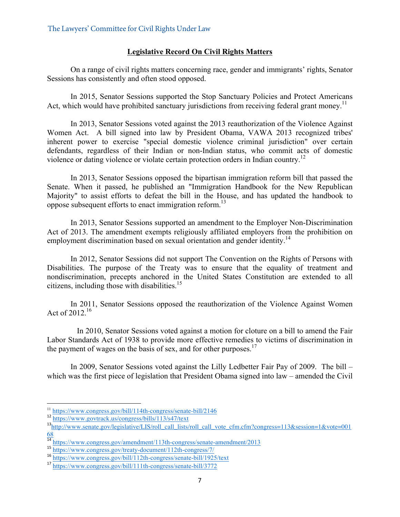# **Legislative Record On Civil Rights Matters**

On a range of civil rights matters concerning race, gender and immigrants' rights, Senator Sessions has consistently and often stood opposed.

In 2015, Senator Sessions supported the Stop Sanctuary Policies and Protect Americans Act, which would have prohibited sanctuary jurisdictions from receiving federal grant money.<sup>11</sup>

In 2013, Senator Sessions voted against the 2013 reauthorization of the Violence Against Women Act. A bill signed into law by President Obama, VAWA 2013 recognized tribes' inherent power to exercise "special domestic violence criminal jurisdiction" over certain defendants, regardless of their Indian or non-Indian status, who commit acts of domestic violence or dating violence or violate certain protection orders in Indian country.<sup>12</sup>

In 2013, Senator Sessions opposed the bipartisan immigration reform bill that passed the Senate. When it passed, he published an "Immigration Handbook for the New Republican Majority" to assist efforts to defeat the bill in the House, and has updated the handbook to oppose subsequent efforts to enact immigration reform.<sup>13</sup>

In 2013, Senator Sessions supported an amendment to the Employer Non-Discrimination Act of 2013. The amendment exempts religiously affiliated employers from the prohibition on employment discrimination based on sexual orientation and gender identity.<sup>14</sup>

In 2012, Senator Sessions did not support The Convention on the Rights of Persons with Disabilities. The purpose of the Treaty was to ensure that the equality of treatment and nondiscrimination, precepts anchored in the United States Constitution are extended to all citizens, including those with disabilities. 15

In 2011, Senator Sessions opposed the reauthorization of the Violence Against Women Act of 2012.<sup>16</sup>

In 2010, Senator Sessions voted against a motion for cloture on a bill to amend the Fair Labor Standards Act of 1938 to provide more effective remedies to victims of discrimination in the payment of wages on the basis of sex, and for other purposes.<sup>17</sup>

In 2009, Senator Sessions voted against the Lilly Ledbetter Fair Pay of 2009. The bill – which was the first piece of legislation that President Obama signed into law – amended the Civil

<sup>&</sup>lt;sup>11</sup> https://www.congress.gov/bill/114th-congress/senate-bill/2146

<sup>&</sup>lt;sup>12</sup><br>https://www.govtrack.us/congress/bills/113/s47/text<br><sup>13</sup>http://www.senate.gov/legislative/LIS/roll\_call\_lists/roll\_call\_vote\_cfm.cfm?congress=113&session=1&vote=001 68

<sup>&</sup>lt;sup>14</sup> https://www.congress.gov/amendment/113th-congress/senate-amendment/2013<br><sup>15</sup> https://www.congress.gov/treaty-document/112th-congress/7/

<sup>16</sup> https://www.congress.gov/bill/112th-congress/senate-bill/1925/text

<sup>17</sup> https://www.congress.gov/bill/111th-congress/senate-bill/3772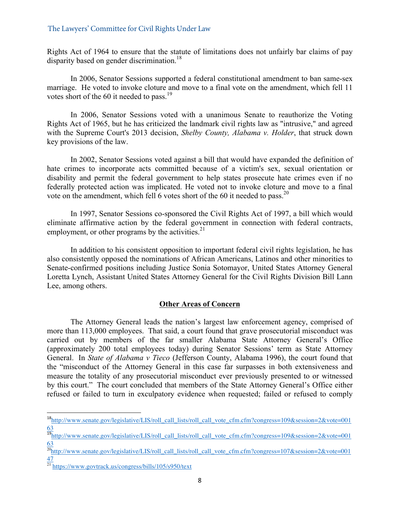Rights Act of 1964 to ensure that the statute of limitations does not unfairly bar claims of pay disparity based on gender discrimination.<sup>18</sup>

In 2006, Senator Sessions supported a federal constitutional amendment to ban same-sex marriage. He voted to invoke cloture and move to a final vote on the amendment, which fell 11 votes short of the 60 it needed to pass.<sup>19</sup>

In 2006, Senator Sessions voted with a unanimous Senate to reauthorize the Voting Rights Act of 1965, but he has criticized the landmark civil rights law as "intrusive," and agreed with the Supreme Court's 2013 decision, *Shelby County, Alabama v. Holder*, that struck down key provisions of the law.

In 2002, Senator Sessions voted against a bill that would have expanded the definition of hate crimes to incorporate acts committed because of a victim's sex, sexual orientation or disability and permit the federal government to help states prosecute hate crimes even if no federally protected action was implicated. He voted not to invoke cloture and move to a final vote on the amendment, which fell 6 votes short of the 60 it needed to pass.<sup>20</sup>

In 1997, Senator Sessions co-sponsored the Civil Rights Act of 1997, a bill which would eliminate affirmative action by the federal government in connection with federal contracts, employment, or other programs by the activities. $2<sup>1</sup>$ 

In addition to his consistent opposition to important federal civil rights legislation, he has also consistently opposed the nominations of African Americans, Latinos and other minorities to Senate-confirmed positions including Justice Sonia Sotomayor, United States Attorney General Loretta Lynch, Assistant United States Attorney General for the Civil Rights Division Bill Lann Lee, among others.

# **Other Areas of Concern**

The Attorney General leads the nation's largest law enforcement agency, comprised of more than 113,000 employees. That said, a court found that grave prosecutorial misconduct was carried out by members of the far smaller Alabama State Attorney General's Office (approximately 200 total employees today) during Senator Sessions' term as State Attorney General. In *State of Alabama v Tieco* (Jefferson County, Alabama 1996), the court found that the "misconduct of the Attorney General in this case far surpasses in both extensiveness and measure the totality of any prosecutorial misconduct ever previously presented to or witnessed by this court." The court concluded that members of the State Attorney General's Office either refused or failed to turn in exculpatory evidence when requested; failed or refused to comply

 <sup>18</sup>http://www.senate.gov/legislative/LIS/roll\_call\_lists/roll\_call\_vote\_cfm.cfm?congress=109&session=2&vote=001 63

<sup>&</sup>lt;sup>19</sup>http://www.senate.gov/legislative/LIS/roll\_call\_lists/roll\_call\_vote\_cfm.cfm?congress=109&session=2&vote=001 63

<sup>&</sup>lt;sup>20</sup>http://www.senate.gov/legislative/LIS/roll\_call\_lists/roll\_call\_vote\_cfm.cfm?congress=107&session=2&vote=001 47

<sup>&</sup>lt;sup>21</sup> https://www.govtrack.us/congress/bills/105/s950/text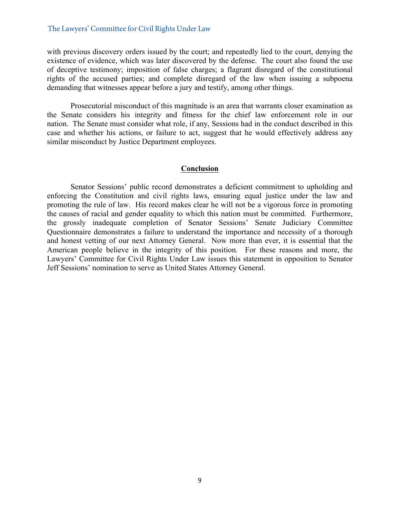with previous discovery orders issued by the court; and repeatedly lied to the court, denying the existence of evidence, which was later discovered by the defense. The court also found the use of deceptive testimony; imposition of false charges; a flagrant disregard of the constitutional rights of the accused parties; and complete disregard of the law when issuing a subpoena demanding that witnesses appear before a jury and testify, among other things.

Prosecutorial misconduct of this magnitude is an area that warrants closer examination as the Senate considers his integrity and fitness for the chief law enforcement role in our nation. The Senate must consider what role, if any, Sessions had in the conduct described in this case and whether his actions, or failure to act, suggest that he would effectively address any similar misconduct by Justice Department employees.

#### **Conclusion**

Senator Sessions' public record demonstrates a deficient commitment to upholding and enforcing the Constitution and civil rights laws, ensuring equal justice under the law and promoting the rule of law. His record makes clear he will not be a vigorous force in promoting the causes of racial and gender equality to which this nation must be committed. Furthermore, the grossly inadequate completion of Senator Sessions' Senate Judiciary Committee Questionnaire demonstrates a failure to understand the importance and necessity of a thorough and honest vetting of our next Attorney General. Now more than ever, it is essential that the American people believe in the integrity of this position. For these reasons and more, the Lawyers' Committee for Civil Rights Under Law issues this statement in opposition to Senator Jeff Sessions' nomination to serve as United States Attorney General.